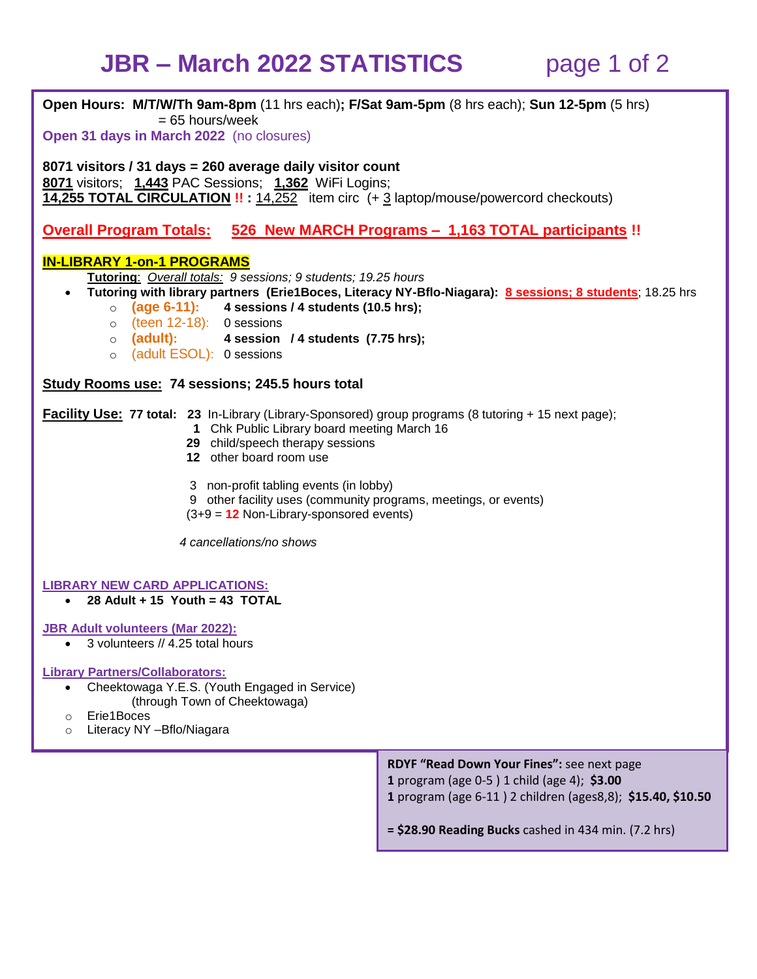## **JBR – March 2022 STATISTICS** page 1 of 2

**Open Hours: M/T/W/Th 9am-8pm** (11 hrs each)**; F/Sat 9am-5pm** (8 hrs each); **Sun 12-5pm** (5 hrs)  $= 65$  hours/week **Open 31 days in March 2022** (no closures) **8071 visitors / 31 days = 260 average daily visitor count 8071** visitors; **1,443** PAC Sessions; **1,362** WiFi Logins; **14,255 TOTAL CIRCULATION !! :** 14,252 item circ (+ 3 laptop/mouse/powercord checkouts) **Overall Program Totals: 526 New MARCH Programs – 1,163 TOTAL participants !! IN-LIBRARY 1-on-1 PROGRAMS Tutoring**: *Overall totals: 9 sessions; 9 students; 19.25 hours* **Tutoring with library partners (Erie1Boces, Literacy NY-Bflo-Niagara): 8 sessions; 8 students**; 18.25 hrs o **(age 6-11): 4 sessions / 4 students (10.5 hrs);** o (teen 12-18): 0 sessions o **(adult): 4 session / 4 students (7.75 hrs);**  o (adult ESOL): 0 sessions **Study Rooms use: 74 sessions; 245.5 hours total Facility Use: 77 total: 23** In-Library (Library-Sponsored) group programs (8 tutoring + 15 next page);  **1** Chk Public Library board meeting March 16  **29** child/speech therapy sessions  **12** other board room use 3non-profit tabling events (in lobby) 9other facility uses (community programs, meetings, or events) (3+9 = **12** Non-Library-sponsored events) *4 cancellations/no shows* **LIBRARY NEW CARD APPLICATIONS: 28 Adult + 15 Youth = 43 TOTAL JBR Adult volunteers (Mar 2022):** • 3 volunteers // 4.25 total hours **Library Partners/Collaborators:** Cheektowaga Y.E.S. (Youth Engaged in Service) (through Town of Cheektowaga) o Erie1Boces o Literacy NY –Bflo/Niagara **RDYF "Read Down Your Fines":** see next page **1** program (age 0-5 ) 1 child (age 4); **\$3.00 1** program (age 6-11 ) 2 children (ages8,8); **\$15.40, \$10.50 = \$28.90 Reading Bucks** cashed in 434 min. (7.2 hrs)